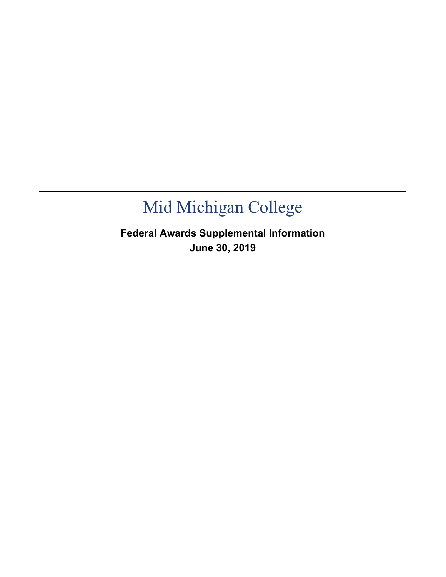**Federal Awards Supplemental Information June 30, 2019**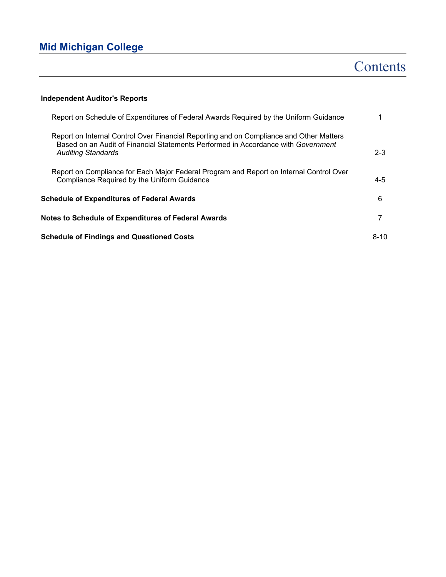### **Contents**

### **Independent Auditor's Reports**

| Report on Schedule of Expenditures of Federal Awards Required by the Uniform Guidance                                                                                                                     |          |
|-----------------------------------------------------------------------------------------------------------------------------------------------------------------------------------------------------------|----------|
| Report on Internal Control Over Financial Reporting and on Compliance and Other Matters<br>Based on an Audit of Financial Statements Performed in Accordance with Government<br><b>Auditing Standards</b> | $2 - 3$  |
| Report on Compliance for Each Major Federal Program and Report on Internal Control Over<br>Compliance Required by the Uniform Guidance                                                                    | $4 - 5$  |
| <b>Schedule of Expenditures of Federal Awards</b>                                                                                                                                                         | 6        |
| <b>Notes to Schedule of Expenditures of Federal Awards</b>                                                                                                                                                |          |
| <b>Schedule of Findings and Questioned Costs</b>                                                                                                                                                          | $8 - 10$ |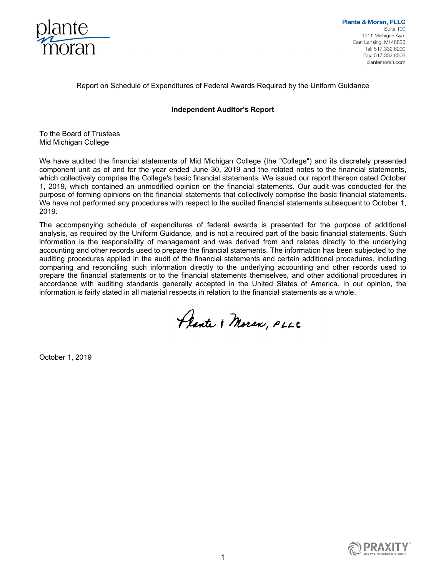

Report on Schedule of Expenditures of Federal Awards Required by the Uniform Guidance

### **Independent Auditor's Report**

To the Board of Trustees Mid Michigan College

We have audited the financial statements of Mid Michigan College (the "College") and its discretely presented component unit as of and for the year ended June 30, 2019 and the related notes to the financial statements, which collectively comprise the College's basic financial statements. We issued our report thereon dated October 1, 2019, which contained an unmodified opinion on the financial statements. Our audit was conducted for the purpose of forming opinions on the financial statements that collectively comprise the basic financial statements. We have not performed any procedures with respect to the audited financial statements subsequent to October 1, 2019.

The accompanying schedule of expenditures of federal awards is presented for the purpose of additional analysis, as required by the Uniform Guidance, and is not a required part of the basic financial statements. Such information is the responsibility of management and was derived from and relates directly to the underlying accounting and other records used to prepare the financial statements. The information has been subjected to the auditing procedures applied in the audit of the financial statements and certain additional procedures, including comparing and reconciling such information directly to the underlying accounting and other records used to prepare the financial statements or to the financial statements themselves, and other additional procedures in accordance with auditing standards generally accepted in the United States of America. In our opinion, the information is fairly stated in all material respects in relation to the financial statements as a whole.

Plante & Moren, PLLC

October 1, 2019

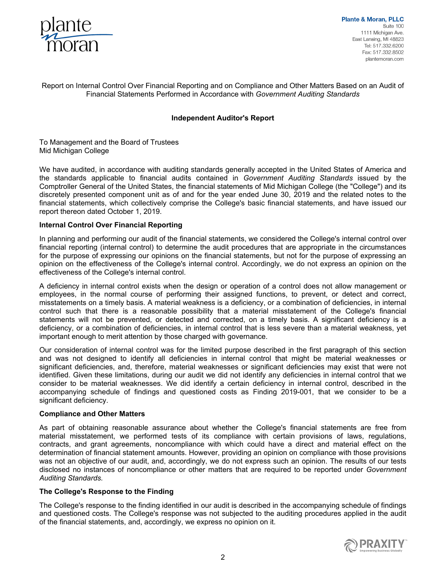

**Plante & Moran, PLLC** Suite 100 1111 Michigan Ave. East Lansing, MI 48823 Tel: 517.332.6200 Fax: 517.332.8502 plantemoran.com

Report on Internal Control Over Financial Reporting and on Compliance and Other Matters Based on an Audit of Financial Statements Performed in Accordance with *Government Auditing Standards*

### **Independent Auditor's Report**

To Management and the Board of Trustees Mid Michigan College

We have audited, in accordance with auditing standards generally accepted in the United States of America and the standards applicable to financial audits contained in *Government Auditing Standards* issued by the Comptroller General of the United States, the financial statements of Mid Michigan College (the "College") and its discretely presented component unit as of and for the year ended June 30, 2019 and the related notes to the financial statements, which collectively comprise the College's basic financial statements, and have issued our report thereon dated October 1, 2019.

### **Internal Control Over Financial Reporting**

In planning and performing our audit of the financial statements, we considered the College's internal control over financial reporting (internal control) to determine the audit procedures that are appropriate in the circumstances for the purpose of expressing our opinions on the financial statements, but not for the purpose of expressing an opinion on the effectiveness of the College's internal control. Accordingly, we do not express an opinion on the effectiveness of the College's internal control.

A deficiency in internal control exists when the design or operation of a control does not allow management or employees, in the normal course of performing their assigned functions, to prevent, or detect and correct, misstatements on a timely basis. A material weakness is a deficiency, or a combination of deficiencies, in internal control such that there is a reasonable possibility that a material misstatement of the College's financial statements will not be prevented, or detected and corrected, on a timely basis. A significant deficiency is a deficiency, or a combination of deficiencies, in internal control that is less severe than a material weakness, yet important enough to merit attention by those charged with governance.

Our consideration of internal control was for the limited purpose described in the first paragraph of this section and was not designed to identify all deficiencies in internal control that might be material weaknesses or significant deficiencies, and, therefore, material weaknesses or significant deficiencies may exist that were not identified. Given these limitations, during our audit we did not identify any deficiencies in internal control that we consider to be material weaknesses. We did identify a certain deficiency in internal control, described in the accompanying schedule of findings and questioned costs as Finding 2019-001, that we consider to be a significant deficiency.

### **Compliance and Other Matters**

As part of obtaining reasonable assurance about whether the College's financial statements are free from material misstatement, we performed tests of its compliance with certain provisions of laws, regulations, contracts, and grant agreements, noncompliance with which could have a direct and material effect on the determination of financial statement amounts. However, providing an opinion on compliance with those provisions was not an objective of our audit, and, accordingly, we do not express such an opinion. The results of our tests disclosed no instances of noncompliance or other matters that are required to be reported under *Government Auditing Standards.* 

### **The College's Response to the Finding**

The College's response to the finding identified in our audit is described in the accompanying schedule of findings and questioned costs. The College's response was not subjected to the auditing procedures applied in the audit of the financial statements, and, accordingly, we express no opinion on it.

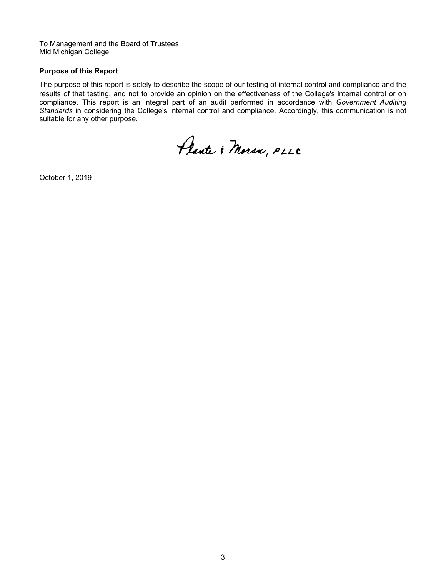To Management and the Board of Trustees Mid Michigan College

### **Purpose of this Report**

The purpose of this report is solely to describe the scope of our testing of internal control and compliance and the results of that testing, and not to provide an opinion on the effectiveness of the College's internal control or on compliance. This report is an integral part of an audit performed in accordance with *Government Auditing Standards* in considering the College's internal control and compliance. Accordingly, this communication is not suitable for any other purpose.

Plante & Moran, PLLC

October 1, 2019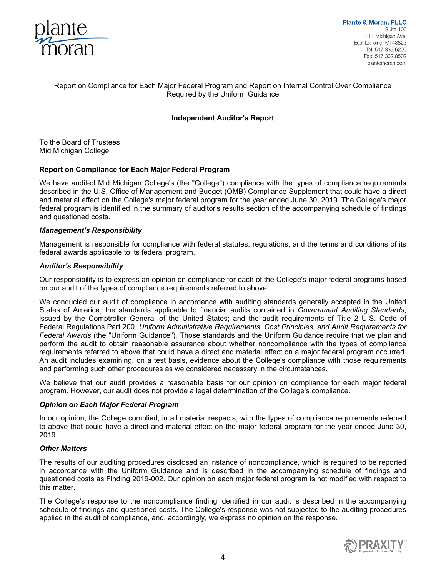

### Report on Compliance for Each Major Federal Program and Report on Internal Control Over Compliance Required by the Uniform Guidance

### **Independent Auditor's Report**

To the Board of Trustees Mid Michigan College

### **Report on Compliance for Each Major Federal Program**

We have audited Mid Michigan College's (the "College") compliance with the types of compliance requirements described in the U.S. Office of Management and Budget (OMB) Compliance Supplement that could have a direct and material effect on the College's major federal program for the year ended June 30, 2019. The College's major federal program is identified in the summary of auditor's results section of the accompanying schedule of findings and questioned costs.

#### *Management's Responsibility*

Management is responsible for compliance with federal statutes, regulations, and the terms and conditions of its federal awards applicable to its federal program.

#### *Auditor's Responsibility*

Our responsibility is to express an opinion on compliance for each of the College's major federal programs based on our audit of the types of compliance requirements referred to above.

We conducted our audit of compliance in accordance with auditing standards generally accepted in the United States of America; the standards applicable to financial audits contained in *Government Auditing Standards*, issued by the Comptroller General of the United States; and the audit requirements of Title 2 U.S. Code of Federal Regulations Part 200, *Uniform Administrative Requirements, Cost Principles, and Audit Requirements for Federal Awards* (the "Uniform Guidance")*.* Those standards and the Uniform Guidance require that we plan and perform the audit to obtain reasonable assurance about whether noncompliance with the types of compliance requirements referred to above that could have a direct and material effect on a major federal program occurred. An audit includes examining, on a test basis, evidence about the College's compliance with those requirements and performing such other procedures as we considered necessary in the circumstances.

We believe that our audit provides a reasonable basis for our opinion on compliance for each major federal program. However, our audit does not provide a legal determination of the College's compliance.

### *Opinion on Each Major Federal Program*

In our opinion, the College complied, in all material respects, with the types of compliance requirements referred to above that could have a direct and material effect on the major federal program for the year ended June 30, 2019.

### *Other Matters*

The results of our auditing procedures disclosed an instance of noncompliance, which is required to be reported in accordance with the Uniform Guidance and is described in the accompanying schedule of findings and questioned costs as Finding 2019-002. Our opinion on each major federal program is not modified with respect to this matter.

The College's response to the noncompliance finding identified in our audit is described in the accompanying schedule of findings and questioned costs. The College's response was not subjected to the auditing procedures applied in the audit of compliance, and, accordingly, we express no opinion on the response.

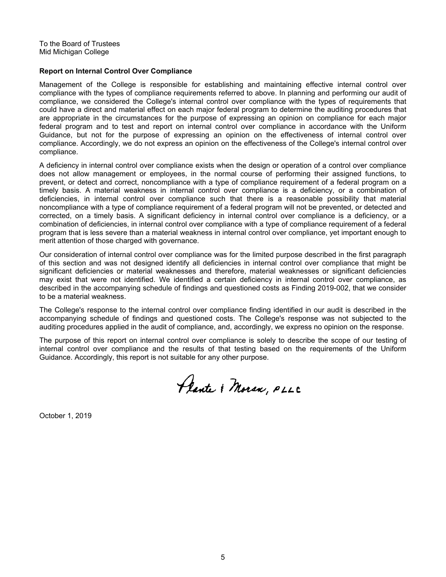To the Board of Trustees Mid Michigan College

#### **Report on Internal Control Over Compliance**

Management of the College is responsible for establishing and maintaining effective internal control over compliance with the types of compliance requirements referred to above. In planning and performing our audit of compliance, we considered the College's internal control over compliance with the types of requirements that could have a direct and material effect on each major federal program to determine the auditing procedures that are appropriate in the circumstances for the purpose of expressing an opinion on compliance for each major federal program and to test and report on internal control over compliance in accordance with the Uniform Guidance, but not for the purpose of expressing an opinion on the effectiveness of internal control over compliance. Accordingly, we do not express an opinion on the effectiveness of the College's internal control over compliance.

A deficiency in internal control over compliance exists when the design or operation of a control over compliance does not allow management or employees, in the normal course of performing their assigned functions, to prevent, or detect and correct, noncompliance with a type of compliance requirement of a federal program on a timely basis. A material weakness in internal control over compliance is a deficiency, or a combination of deficiencies, in internal control over compliance such that there is a reasonable possibility that material noncompliance with a type of compliance requirement of a federal program will not be prevented, or detected and corrected, on a timely basis. A significant deficiency in internal control over compliance is a deficiency, or a combination of deficiencies, in internal control over compliance with a type of compliance requirement of a federal program that is less severe than a material weakness in internal control over compliance, yet important enough to merit attention of those charged with governance.

Our consideration of internal control over compliance was for the limited purpose described in the first paragraph of this section and was not designed identify all deficiencies in internal control over compliance that might be significant deficiencies or material weaknesses and therefore, material weaknesses or significant deficiencies may exist that were not identified. We identified a certain deficiency in internal control over compliance, as described in the accompanying schedule of findings and questioned costs as Finding 2019-002, that we consider to be a material weakness.

The College's response to the internal control over compliance finding identified in our audit is described in the accompanying schedule of findings and questioned costs. The College's response was not subjected to the auditing procedures applied in the audit of compliance, and, accordingly, we express no opinion on the response.

The purpose of this report on internal control over compliance is solely to describe the scope of our testing of internal control over compliance and the results of that testing based on the requirements of the Uniform Guidance. Accordingly, this report is not suitable for any other purpose.

Plante & Moran, PLLC

October 1, 2019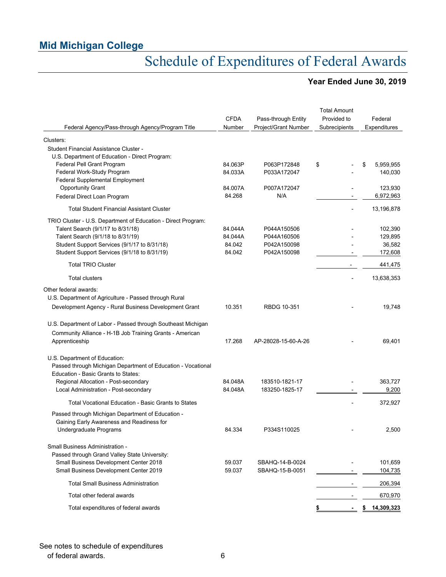# Schedule of Expenditures of Federal Awards

### **Year Ended June 30, 2019**

|                                                                                          | <b>CFDA</b> | Pass-through Entity  | <b>Total Amount</b><br>Provided to | Federal          |
|------------------------------------------------------------------------------------------|-------------|----------------------|------------------------------------|------------------|
| Federal Agency/Pass-through Agency/Program Title                                         | Number      | Project/Grant Number | Subrecipients                      | Expenditures     |
| Clusters:                                                                                |             |                      |                                    |                  |
| Student Financial Assistance Cluster -<br>U.S. Department of Education - Direct Program: |             |                      |                                    |                  |
| Federal Pell Grant Program                                                               | 84.063P     | P063P172848          | \$                                 | 5,959,955<br>\$  |
| Federal Work-Study Program                                                               | 84.033A     | P033A172047          |                                    | 140,030          |
| Federal Supplemental Employment                                                          |             |                      |                                    |                  |
| <b>Opportunity Grant</b>                                                                 | 84.007A     | P007A172047          |                                    | 123,930          |
| Federal Direct Loan Program                                                              | 84.268      | N/A                  |                                    | 6,972,963        |
| <b>Total Student Financial Assistant Cluster</b>                                         |             |                      |                                    | 13,196,878       |
| TRIO Cluster - U.S. Department of Education - Direct Program:                            |             |                      |                                    |                  |
| Talent Search (9/1/17 to 8/31/18)                                                        | 84.044A     | P044A150506          |                                    | 102,390          |
| Talent Search (9/1/18 to 8/31/19)                                                        | 84.044A     | P044A160506          |                                    | 129,895          |
| Student Support Services (9/1/17 to 8/31/18)                                             | 84.042      | P042A150098          |                                    | 36,582           |
| Student Support Services (9/1/18 to 8/31/19)                                             | 84.042      | P042A150098          |                                    | 172,608          |
| <b>Total TRIO Cluster</b>                                                                |             |                      |                                    | 441,475          |
| <b>Total clusters</b>                                                                    |             |                      |                                    | 13,638,353       |
| Other federal awards:                                                                    |             |                      |                                    |                  |
| U.S. Department of Agriculture - Passed through Rural                                    |             |                      |                                    |                  |
| Development Agency - Rural Business Development Grant                                    | 10.351      | RBDG 10-351          |                                    | 19,748           |
| U.S. Department of Labor - Passed through Southeast Michigan                             |             |                      |                                    |                  |
| Community Alliance - H-1B Job Training Grants - American                                 |             |                      |                                    |                  |
| Apprenticeship                                                                           | 17.268      | AP-28028-15-60-A-26  |                                    | 69,401           |
| U.S. Department of Education:                                                            |             |                      |                                    |                  |
| Passed through Michigan Department of Education - Vocational                             |             |                      |                                    |                  |
| Education - Basic Grants to States:                                                      |             |                      |                                    |                  |
| Regional Allocation - Post-secondary                                                     | 84.048A     | 183510-1821-17       |                                    | 363,727          |
| Local Administration - Post-secondary                                                    | 84.048A     | 183250-1825-17       |                                    | 9,200            |
| Total Vocational Education - Basic Grants to States                                      |             |                      |                                    | 372,927          |
| Passed through Michigan Department of Education -                                        |             |                      |                                    |                  |
| Gaining Early Awareness and Readiness for                                                |             |                      |                                    |                  |
| Undergraduate Programs                                                                   | 84.334      | P334S110025          |                                    | 2,500            |
| Small Business Administration -                                                          |             |                      |                                    |                  |
| Passed through Grand Valley State University:                                            |             |                      |                                    |                  |
| Small Business Development Center 2018                                                   | 59.037      | SBAHQ-14-B-0024      |                                    | 101,659          |
| Small Business Development Center 2019                                                   | 59.037      | SBAHQ-15-B-0051      |                                    | 104,735          |
| <b>Total Small Business Administration</b>                                               |             |                      |                                    | 206,394          |
| Total other federal awards                                                               |             |                      |                                    | 670,970          |
| Total expenditures of federal awards                                                     |             |                      | \$                                 | \$<br>14,309,323 |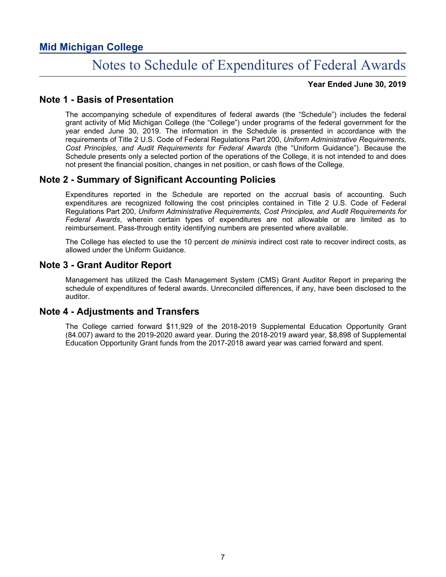### Notes to Schedule of Expenditures of Federal Awards

### **Year Ended June 30, 2019**

### **Note 1 - Basis of Presentation**

The accompanying schedule of expenditures of federal awards (the "Schedule") includes the federal grant activity of Mid Michigan College (the "College") under programs of the federal government for the year ended June 30, 2019. The information in the Schedule is presented in accordance with the requirements of Title 2 U.S. Code of Federal Regulations Part 200, *Uniform Administrative Requirements, Cost Principles, and Audit Requirements for Federal Awards* (the "Uniform Guidance"). Because the Schedule presents only a selected portion of the operations of the College, it is not intended to and does not present the financial position, changes in net position, or cash flows of the College.

### **Note 2 - Summary of Significant Accounting Policies**

Expenditures reported in the Schedule are reported on the accrual basis of accounting. Such expenditures are recognized following the cost principles contained in Title 2 U.S. Code of Federal Regulations Part 200, *Uniform Administrative Requirements, Cost Principles, and Audit Requirements for Federal Awards*, wherein certain types of expenditures are not allowable or are limited as to reimbursement. Pass-through entity identifying numbers are presented where available.

The College has elected to use the 10 percent *de minimis* indirect cost rate to recover indirect costs, as allowed under the Uniform Guidance.

### **Note 3 - Grant Auditor Report**

Management has utilized the Cash Management System (CMS) Grant Auditor Report in preparing the schedule of expenditures of federal awards. Unreconciled differences, if any, have been disclosed to the auditor.

### **Note 4 - Adjustments and Transfers**

The College carried forward \$11,929 of the 2018-2019 Supplemental Education Opportunity Grant (84.007) award to the 2019-2020 award year. During the 2018-2019 award year, \$8,898 of Supplemental Education Opportunity Grant funds from the 2017-2018 award year was carried forward and spent.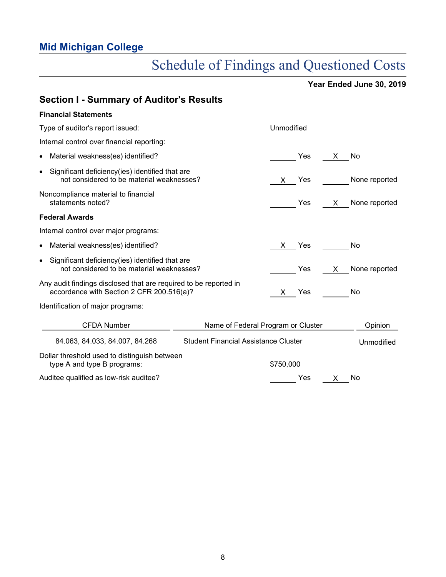# Schedule of Findings and Questioned Costs

**Year Ended June 30, 2019**

| <b>Section I - Summary of Auditor's Results</b>                                                               |                                             |            |     |                   |
|---------------------------------------------------------------------------------------------------------------|---------------------------------------------|------------|-----|-------------------|
| <b>Financial Statements</b>                                                                                   |                                             |            |     |                   |
| Type of auditor's report issued:                                                                              |                                             | Unmodified |     |                   |
| Internal control over financial reporting:                                                                    |                                             |            |     |                   |
| Material weakness(es) identified?<br>$\bullet$                                                                |                                             | Yes        | X.  | No                |
| Significant deficiency(ies) identified that are<br>$\bullet$<br>not considered to be material weaknesses?     |                                             | Yes<br>X.  |     | None reported     |
| Noncompliance material to financial<br>statements noted?                                                      |                                             | Yes        | X — | None reported     |
| <b>Federal Awards</b>                                                                                         |                                             |            |     |                   |
| Internal control over major programs:                                                                         |                                             |            |     |                   |
| Material weakness(es) identified?                                                                             |                                             | Yes<br>X.  |     | No                |
| Significant deficiency(ies) identified that are<br>$\bullet$<br>not considered to be material weaknesses?     |                                             | Yes        | X — | None reported     |
| Any audit findings disclosed that are required to be reported in<br>accordance with Section 2 CFR 200.516(a)? |                                             | X Yes      |     | No                |
| Identification of major programs:                                                                             |                                             |            |     |                   |
| <b>CFDA Number</b>                                                                                            | Name of Federal Program or Cluster          |            |     | Opinion           |
| 84.063, 84.033, 84.007, 84.268                                                                                | <b>Student Financial Assistance Cluster</b> |            |     | <b>Unmodified</b> |
| Dollar threshold used to distinguish between<br>type A and type B programs:                                   |                                             | \$750,000  |     |                   |
| Auditee qualified as low-risk auditee?                                                                        |                                             | Yes        | X   | No                |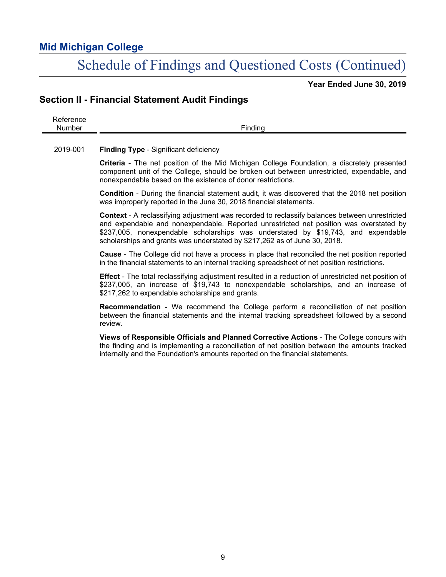### Schedule of Findings and Questioned Costs (Continued)

**Year Ended June 30, 2019**

### **Section II - Financial Statement Audit Findings**

Reference Number Finding

2019-001 **Finding Type** - Significant deficiency

**Criteria** - The net position of the Mid Michigan College Foundation, a discretely presented component unit of the College, should be broken out between unrestricted, expendable, and nonexpendable based on the existence of donor restrictions.

**Condition** - During the financial statement audit, it was discovered that the 2018 net position was improperly reported in the June 30, 2018 financial statements.

**Context** - A reclassifying adjustment was recorded to reclassify balances between unrestricted and expendable and nonexpendable. Reported unrestricted net position was overstated by \$237,005, nonexpendable scholarships was understated by \$19,743, and expendable scholarships and grants was understated by \$217,262 as of June 30, 2018.

**Cause** - The College did not have a process in place that reconciled the net position reported in the financial statements to an internal tracking spreadsheet of net position restrictions.

**Effect** - The total reclassifying adjustment resulted in a reduction of unrestricted net position of \$237,005, an increase of \$19,743 to nonexpendable scholarships, and an increase of \$217,262 to expendable scholarships and grants.

**Recommendation** - We recommend the College perform a reconciliation of net position between the financial statements and the internal tracking spreadsheet followed by a second review.

**Views of Responsible Officials and Planned Corrective Actions** - The College concurs with the finding and is implementing a reconciliation of net position between the amounts tracked internally and the Foundation's amounts reported on the financial statements.